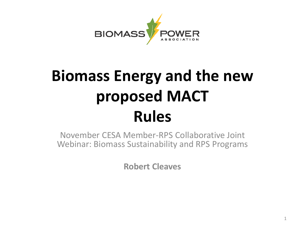

#### **Biomass Energy and the new proposed MACT Rules**

November CESA Member-RPS Collaborative Joint Webinar: Biomass Sustainability and RPS Programs

**Robert Cleaves**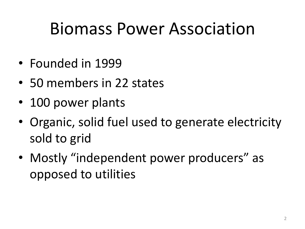### Biomass Power Association

- Founded in 1999
- 50 members in 22 states
- 100 power plants
- Organic, solid fuel used to generate electricity sold to grid
- Mostly "independent power producers" as opposed to utilities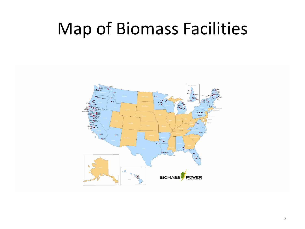#### Map of Biomass Facilities

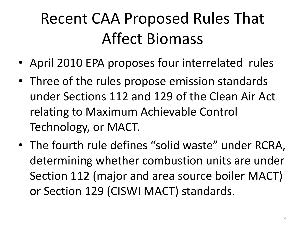#### Recent CAA Proposed Rules That Affect Biomass

- April 2010 EPA proposes four interrelated rules
- Three of the rules propose emission standards under Sections 112 and 129 of the Clean Air Act relating to Maximum Achievable Control Technology, or MACT.
- The fourth rule defines "solid waste" under RCRA, determining whether combustion units are under Section 112 (major and area source boiler MACT) or Section 129 (CISWI MACT) standards.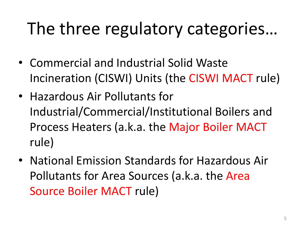# The three regulatory categories…

- Commercial and Industrial Solid Waste Incineration (CISWI) Units (the CISWI MACT rule)
- Hazardous Air Pollutants for Industrial/Commercial/Institutional Boilers and Process Heaters (a.k.a. the Major Boiler MACT rule)
- National Emission Standards for Hazardous Air Pollutants for Area Sources (a.k.a. the Area Source Boiler MACT rule)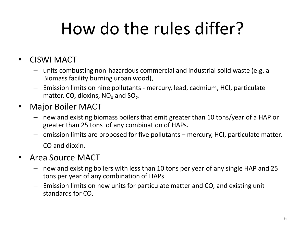# How do the rules differ?

- CISWI MACT
	- units combusting non-hazardous commercial and industrial solid waste (e.g. a Biomass facility burning urban wood),
	- Emission limits on nine pollutants mercury, lead, cadmium, HCl, particulate matter, CO, dioxins,  $NO_{\chi}$  and  $SO_{2}$ .
- Major Boiler MACT
	- new and existing biomass boilers that emit greater than 10 tons/year of a HAP or greater than 25 tons of any combination of HAPs.
	- emission limits are proposed for five pollutants mercury, HCl, particulate matter, CO and dioxin.
- Area Source MACT
	- new and existing boilers with less than 10 tons per year of any single HAP and 25 tons per year of any combination of HAPs
	- Emission limits on new units for particulate matter and CO, and existing unit standards for CO.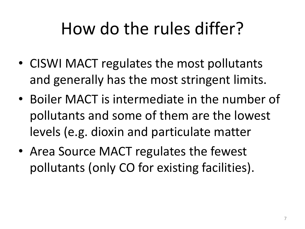# How do the rules differ?

- CISWI MACT regulates the most pollutants and generally has the most stringent limits.
- Boiler MACT is intermediate in the number of pollutants and some of them are the lowest levels (e.g. dioxin and particulate matter
- Area Source MACT regulates the fewest pollutants (only CO for existing facilities).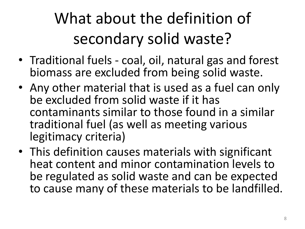# What about the definition of secondary solid waste?

- Traditional fuels coal, oil, natural gas and forest biomass are excluded from being solid waste.
- Any other material that is used as a fuel can only be excluded from solid waste if it has contaminants similar to those found in a similar traditional fuel (as well as meeting various legitimacy criteria)
- This definition causes materials with significant heat content and minor contamination levels to be regulated as solid waste and can be expected to cause many of these materials to be landfilled.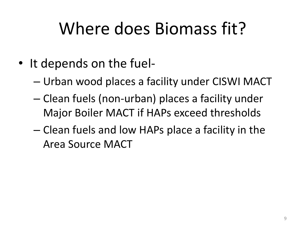# Where does Biomass fit?

- It depends on the fuel-
	- Urban wood places a facility under CISWI MACT
	- Clean fuels (non-urban) places a facility under Major Boiler MACT if HAPs exceed thresholds
	- Clean fuels and low HAPs place a facility in the Area Source MACT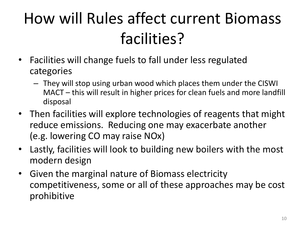### How will Rules affect current Biomass facilities?

- Facilities will change fuels to fall under less regulated categories
	- They will stop using urban wood which places them under the CISWI MACT – this will result in higher prices for clean fuels and more landfill disposal
- Then facilities will explore technologies of reagents that might reduce emissions. Reducing one may exacerbate another (e.g. lowering CO may raise NOx)
- Lastly, facilities will look to building new boilers with the most modern design
- Given the marginal nature of Biomass electricity competitiveness, some or all of these approaches may be cost prohibitive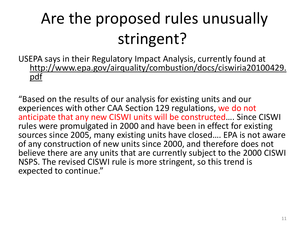# Are the proposed rules unusually stringent?

USEPA says in their Regulatory Impact Analysis, currently found at http://www.epa.gov/airquality/combustion/docs/ciswiria20100429. pdf

"Based on the results of our analysis for existing units and our experiences with other CAA Section 129 regulations, we do not anticipate that any new CISWI units will be constructed…. Since CISWI rules were promulgated in 2000 and have been in effect for existing sources since 2005, many existing units have closed…. EPA is not aware of any construction of new units since 2000, and therefore does not believe there are any units that are currently subject to the 2000 CISWI NSPS. The revised CISWI rule is more stringent, so this trend is expected to continue."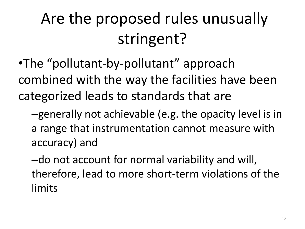# Are the proposed rules unusually stringent?

•The "pollutant-by-pollutant" approach combined with the way the facilities have been categorized leads to standards that are

–generally not achievable (e.g. the opacity level is in a range that instrumentation cannot measure with accuracy) and

–do not account for normal variability and will, therefore, lead to more short-term violations of the limits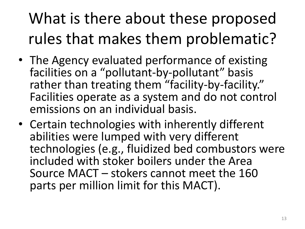# What is there about these proposed rules that makes them problematic?

- The Agency evaluated performance of existing facilities on a "pollutant-by-pollutant" basis rather than treating them "facility-by-facility." Facilities operate as a system and do not control emissions on an individual basis.
- Certain technologies with inherently different abilities were lumped with very different technologies (e.g., fluidized bed combustors were included with stoker boilers under the Area Source MACT – stokers cannot meet the 160 parts per million limit for this MACT).